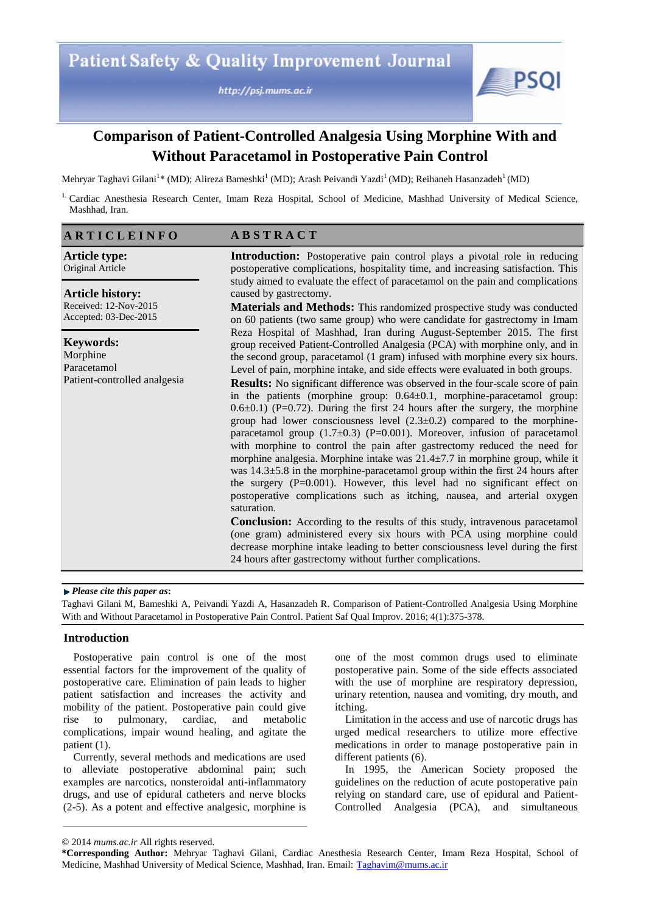http://psj.mums.ac.ir



# **Comparison of Patient-Controlled Analgesia Using Morphine With and Without Paracetamol in Postoperative Pain Control**

Mehryar Taghavi Gilani<sup>1</sup>\* (MD); Alireza Bameshki<sup>1</sup> (MD); Arash Peivandi Yazdi<sup>1</sup> (MD); Reihaneh Hasanzadeh<sup>1</sup> (MD)

<sup>1.</sup> Cardiac Anesthesia Research Center, Imam Reza Hospital, School of Medicine, Mashhad University of Medical Science, Mashhad, Iran.

| <b>ARTICLEINFO</b>                                                          | <b>ABSTRACT</b>                                                                                                                                                                                                                                                                                                                                                                                                                                                                                                                                                                                                                                                                                                                                                                                                                                                                                                                                                                                                                                                                                                                                                                                                                                                                                                                                                                                                                 |  |
|-----------------------------------------------------------------------------|---------------------------------------------------------------------------------------------------------------------------------------------------------------------------------------------------------------------------------------------------------------------------------------------------------------------------------------------------------------------------------------------------------------------------------------------------------------------------------------------------------------------------------------------------------------------------------------------------------------------------------------------------------------------------------------------------------------------------------------------------------------------------------------------------------------------------------------------------------------------------------------------------------------------------------------------------------------------------------------------------------------------------------------------------------------------------------------------------------------------------------------------------------------------------------------------------------------------------------------------------------------------------------------------------------------------------------------------------------------------------------------------------------------------------------|--|
| <b>Article type:</b><br>Original Article                                    | <b>Introduction:</b> Postoperative pain control plays a pivotal role in reducing<br>postoperative complications, hospitality time, and increasing satisfaction. This<br>study aimed to evaluate the effect of paracetamol on the pain and complications<br>caused by gastrectomy.<br><b>Materials and Methods:</b> This randomized prospective study was conducted<br>on 60 patients (two same group) who were candidate for gastrectomy in Imam<br>Reza Hospital of Mashhad, Iran during August-September 2015. The first                                                                                                                                                                                                                                                                                                                                                                                                                                                                                                                                                                                                                                                                                                                                                                                                                                                                                                      |  |
| <b>Article history:</b><br>Received: 12-Nov-2015<br>Accepted: 03-Dec-2015   |                                                                                                                                                                                                                                                                                                                                                                                                                                                                                                                                                                                                                                                                                                                                                                                                                                                                                                                                                                                                                                                                                                                                                                                                                                                                                                                                                                                                                                 |  |
| <b>Keywords:</b><br>Morphine<br>Paracetamol<br>Patient-controlled analgesia | group received Patient-Controlled Analgesia (PCA) with morphine only, and in<br>the second group, paracetamol (1 gram) infused with morphine every six hours.<br>Level of pain, morphine intake, and side effects were evaluated in both groups.<br><b>Results:</b> No significant difference was observed in the four-scale score of pain<br>in the patients (morphine group: $0.64 \pm 0.1$ , morphine-paracetamol group:<br>$0.6\pm0.1$ ) (P=0.72). During the first 24 hours after the surgery, the morphine<br>group had lower consciousness level $(2.3\pm0.2)$ compared to the morphine-<br>paracetamol group $(1.7\pm0.3)$ (P=0.001). Moreover, infusion of paracetamol<br>with morphine to control the pain after gastrectomy reduced the need for<br>morphine analgesia. Morphine intake was $21.4 \pm 7.7$ in morphine group, while it<br>was $14.3\pm5.8$ in the morphine-paracetamol group within the first 24 hours after<br>the surgery $(P=0.001)$ . However, this level had no significant effect on<br>postoperative complications such as itching, nausea, and arterial oxygen<br>saturation.<br><b>Conclusion:</b> According to the results of this study, intravenous paracetamol<br>(one gram) administered every six hours with PCA using morphine could<br>decrease morphine intake leading to better consciousness level during the first<br>24 hours after gastrectomy without further complications. |  |

#### *Please cite this paper as***:**

Taghavi Gilani M, Bameshki A, Peivandi Yazdi A, Hasanzadeh R. Comparison of Patient-Controlled Analgesia Using Morphine With and Without Paracetamol in Postoperative Pain Control. Patient Saf Qual Improv. 2016; 4(1):375-378.

# **Introduction**

Postoperative pain control is one of the most essential factors for the improvement of the quality of postoperative care. Elimination of pain leads to higher patient satisfaction and increases the activity and mobility of the patient. Postoperative pain could give rise to pulmonary, cardiac, and metabolic complications, impair wound healing, and agitate the patient (1).

Currently, several methods and medications are used to alleviate postoperative abdominal pain; such examples are narcotics, nonsteroidal anti-inflammatory drugs, and use of epidural catheters and nerve blocks (2-5). As a potent and effective analgesic, morphine is

one of the most common drugs used to eliminate postoperative pain. Some of the side effects associated with the use of morphine are respiratory depression, urinary retention, nausea and vomiting, dry mouth, and itching.

Limitation in the access and use of narcotic drugs has urged medical researchers to utilize more effective medications in order to manage postoperative pain in different patients (6).

In 1995, the American Society proposed the guidelines on the reduction of acute postoperative pain relying on standard care, use of epidural and Patient-Controlled Analgesia (PCA), and simultaneous

<sup>© 2014</sup> *mums.ac.ir* All rights reserved.

**<sup>\*</sup>Corresponding Author:** Mehryar Taghavi Gilani, Cardiac Anesthesia Research Center, Imam Reza Hospital, School of Medicine, Mashhad University of Medical Science, Mashhad, Iran. Email: Taghavim@mums.ac.ir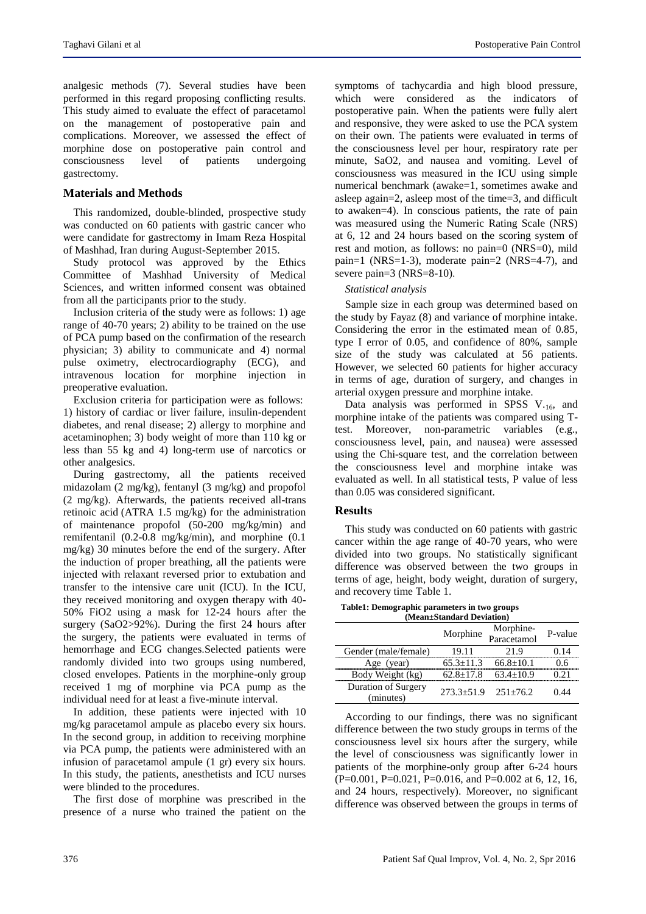analgesic methods (7). Several studies have been performed in this regard proposing conflicting results. This study aimed to evaluate the effect of paracetamol on the management of postoperative pain and complications. Moreover, we assessed the effect of morphine dose on postoperative pain control and consciousness level of patients undergoing gastrectomy.

## **Materials and Methods**

This randomized, double-blinded, prospective study was conducted on 60 patients with gastric cancer who were candidate for gastrectomy in Imam Reza Hospital of Mashhad, Iran during August-September 2015.

Study protocol was approved by the Ethics Committee of Mashhad University of Medical Sciences, and written informed consent was obtained from all the participants prior to the study.

Inclusion criteria of the study were as follows: 1) age range of 40-70 years; 2) ability to be trained on the use of PCA pump based on the confirmation of the research physician; 3) ability to communicate and 4) normal pulse oximetry, electrocardiography (ECG), and intravenous location for morphine injection in preoperative evaluation.

Exclusion criteria for participation were as follows: 1) history of cardiac or liver failure, insulin-dependent diabetes, and renal disease; 2) allergy to morphine and acetaminophen; 3) body weight of more than 110 kg or less than 55 kg and 4) long-term use of narcotics or other analgesics.

During gastrectomy, all the patients received midazolam (2 mg/kg), fentanyl (3 mg/kg) and propofol (2 mg/kg). Afterwards, the patients received all-trans retinoic acid (ATRA 1.5 mg/kg) for the administration of maintenance propofol (50-200 mg/kg/min) and remifentanil (0.2-0.8 mg/kg/min), and morphine (0.1 mg/kg) 30 minutes before the end of the surgery. After the induction of proper breathing, all the patients were injected with relaxant reversed prior to extubation and transfer to the intensive care unit (ICU). In the ICU, they received monitoring and oxygen therapy with 40- 50% FiO2 using a mask for 12-24 hours after the surgery (SaO2>92%). During the first 24 hours after the surgery, the patients were evaluated in terms of hemorrhage and ECG changes.Selected patients were randomly divided into two groups using numbered, closed envelopes. Patients in the morphine-only group received 1 mg of morphine via PCA pump as the individual need for at least a five-minute interval.

In addition, these patients were injected with 10 mg/kg paracetamol ampule as placebo every six hours. In the second group, in addition to receiving morphine via PCA pump, the patients were administered with an infusion of paracetamol ampule (1 gr) every six hours. In this study, the patients, anesthetists and ICU nurses were blinded to the procedures.

The first dose of morphine was prescribed in the presence of a nurse who trained the patient on the

symptoms of tachycardia and high blood pressure, which were considered as the indicators of postoperative pain. When the patients were fully alert and responsive, they were asked to use the PCA system on their own. The patients were evaluated in terms of the consciousness level per hour, respiratory rate per minute, SaO2, and nausea and vomiting. Level of consciousness was measured in the ICU using simple numerical benchmark (awake=1, sometimes awake and asleep again=2, asleep most of the time=3, and difficult to awaken=4). In conscious patients, the rate of pain was measured using the Numeric Rating Scale (NRS) at 6, 12 and 24 hours based on the scoring system of rest and motion, as follows: no pain=0 (NRS=0), mild pain=1 (NRS=1-3), moderate pain=2 (NRS=4-7), and severe pain=3 (NRS=8-10).

#### *Statistical analysis*

Sample size in each group was determined based on the study by Fayaz (8) and variance of morphine intake. Considering the error in the estimated mean of 0.85, type I error of 0.05, and confidence of 80%, sample size of the study was calculated at 56 patients. However, we selected 60 patients for higher accuracy in terms of age, duration of surgery, and changes in arterial oxygen pressure and morphine intake.

Data analysis was performed in SPSS V.16, and morphine intake of the patients was compared using Ttest. Moreover, non-parametric variables (e.g., consciousness level, pain, and nausea) were assessed using the Chi-square test, and the correlation between the consciousness level and morphine intake was evaluated as well. In all statistical tests, P value of less than 0.05 was considered significant.

#### **Results**

This study was conducted on 60 patients with gastric cancer within the age range of 40-70 years, who were divided into two groups. No statistically significant difference was observed between the two groups in terms of age, height, body weight, duration of surgery, and recovery time Table 1.

**Table1: Demographic parameters in two groups (Mean±Standard Deviation)**

|                                  | Morphine        | Morphine-<br>Paracetamol | P-value |  |  |
|----------------------------------|-----------------|--------------------------|---------|--|--|
| Gender (male/female)             | 19.11           | 21.9                     | 0.14    |  |  |
| Age (year)                       | $65.3 \pm 11.3$ | $66.8 + 10.1$            | 0.6     |  |  |
| Body Weight (kg)                 | $62.8 + 17.8$   | $63.4 + 10.9$            | 0.21    |  |  |
| Duration of Surgery<br>(minutes) | $273.3 + 51.9$  | $251 + 76.2$             | 0.44    |  |  |

According to our findings, there was no significant difference between the two study groups in terms of the consciousness level six hours after the surgery, while the level of consciousness was significantly lower in patients of the morphine-only group after 6-24 hours  $(P=0.001, P=0.021, P=0.016, and P=0.002 at 6, 12, 16,$ and 24 hours, respectively). Moreover, no significant difference was observed between the groups in terms of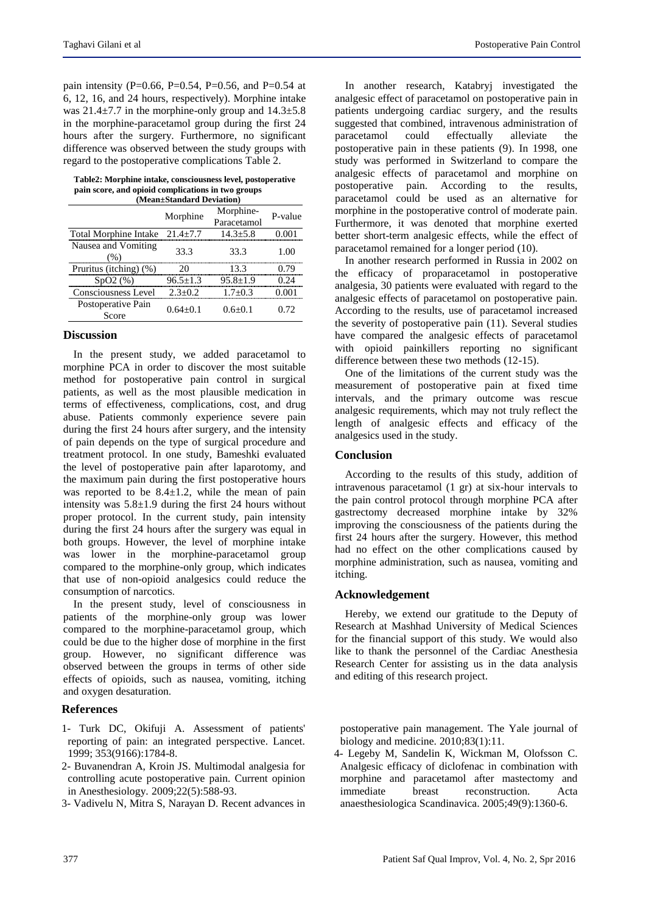pain intensity (P=0.66, P=0.54, P=0.56, and P=0.54 at 6, 12, 16, and 24 hours, respectively). Morphine intake was  $21.4\pm7.7$  in the morphine-only group and  $14.3\pm5.8$ in the morphine-paracetamol group during the first 24 hours after the surgery. Furthermore, no significant difference was observed between the study groups with regard to the postoperative complications Table 2.

**Table2: Morphine intake, consciousness level, postoperative pain score, and opioid complications in two groups (Mean±Standard Deviation)**

|                                      | Morphine       | Morphine-<br>Paracetamol | P-value |  |
|--------------------------------------|----------------|--------------------------|---------|--|
| Total Morphine Intake $21.4 \pm 7.7$ |                | $14.3 + 5.8$             | 0.001   |  |
| Nausea and Vomiting<br>(% )          | 33.3           | 33.3                     | 1.00    |  |
| Pruritus (itching) (%)               | 20             | 13.3                     | 0.79    |  |
| SpO2(%)                              | $96.5 \pm 1.3$ | $95.8 + 1.9$             | 0.24    |  |
| Consciousness Level                  | $2.3 + 0.2$    | $1.7 + 0.3$              | 0.001   |  |
| Postoperative Pain<br>Score          | $0.64 + 0.1$   | $0.6 + 0.1$              | 0.72    |  |
|                                      |                |                          |         |  |

### **Discussion**

In the present study, we added paracetamol to morphine PCA in order to discover the most suitable method for postoperative pain control in surgical patients, as well as the most plausible medication in terms of effectiveness, complications, cost, and drug abuse. Patients commonly experience severe pain during the first 24 hours after surgery, and the intensity of pain depends on the type of surgical procedure and treatment protocol. In one study, Bameshki evaluated the level of postoperative pain after laparotomy, and the maximum pain during the first postoperative hours was reported to be  $8.4 \pm 1.2$ , while the mean of pain intensity was 5.8±1.9 during the first 24 hours without proper protocol. In the current study, pain intensity during the first 24 hours after the surgery was equal in both groups. However, the level of morphine intake was lower in the morphine-paracetamol group compared to the morphine-only group, which indicates that use of non-opioid analgesics could reduce the consumption of narcotics.

In the present study, level of consciousness in patients of the morphine-only group was lower compared to the morphine-paracetamol group, which could be due to the higher dose of morphine in the first group. However, no significant difference was observed between the groups in terms of other side effects of opioids, such as nausea, vomiting, itching and oxygen desaturation.

# **References**

- 1- Turk DC, Okifuji A. Assessment of patients' reporting of pain: an integrated perspective. Lancet. 1999; 353(9166):1784-8.
- 2- Buvanendran A, Kroin JS. Multimodal analgesia for controlling acute postoperative pain. Current opinion in Anesthesiology. 2009;22(5):588-93.
- 3- Vadivelu N, Mitra S, Narayan D. Recent advances in

In another research, Katabryj investigated the analgesic effect of paracetamol on postoperative pain in patients undergoing cardiac surgery, and the results suggested that combined, intravenous administration of paracetamol could effectually alleviate the postoperative pain in these patients (9). In 1998, one study was performed in Switzerland to compare the analgesic effects of paracetamol and morphine on postoperative pain. According to the results, paracetamol could be used as an alternative for morphine in the postoperative control of moderate pain. Furthermore, it was denoted that morphine exerted better short-term analgesic effects, while the effect of paracetamol remained for a longer period (10).

In another research performed in Russia in 2002 on the efficacy of proparacetamol in postoperative analgesia, 30 patients were evaluated with regard to the analgesic effects of paracetamol on postoperative pain. According to the results, use of paracetamol increased the severity of postoperative pain (11). Several studies have compared the analgesic effects of paracetamol with opioid painkillers reporting no significant difference between these two methods (12-15).

One of the limitations of the current study was the measurement of postoperative pain at fixed time intervals, and the primary outcome was rescue analgesic requirements, which may not truly reflect the length of analgesic effects and efficacy of the analgesics used in the study.

## **Conclusion**

According to the results of this study, addition of intravenous paracetamol (1 gr) at six-hour intervals to the pain control protocol through morphine PCA after gastrectomy decreased morphine intake by 32% improving the consciousness of the patients during the first 24 hours after the surgery. However, this method had no effect on the other complications caused by morphine administration, such as nausea, vomiting and itching.

# **Acknowledgement**

Hereby, we extend our gratitude to the Deputy of Research at Mashhad University of Medical Sciences for the financial support of this study. We would also like to thank the personnel of the Cardiac Anesthesia Research Center for assisting us in the data analysis and editing of this research project.

postoperative pain management. The Yale journal of biology and medicine. 2010;83(1):11.

4- Legeby M, Sandelin K, Wickman M, Olofsson C. Analgesic efficacy of diclofenac in combination with morphine and paracetamol after mastectomy and immediate breast reconstruction. Acta anaesthesiologica Scandinavica. 2005;49(9):1360-6.